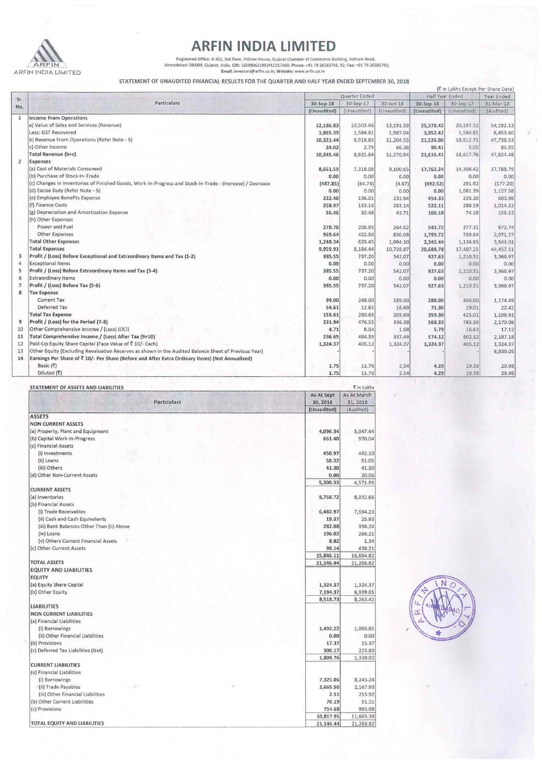

## **ARFIN INDIA LIMITED**

Registered Office: B-302, 3rd Floor, Pelican House, Gujarat Chamber of Commerce Building, Ashram Road,<br>Ahmedabad-380009, Gujarat, India. CIN: L65990G11992PLC017460; Phone: +91 79 26583791, 92; Fax: +91 79 26583792;<br>Email:

STATEMENT OF UNAUDITED FINANCIAL RESULTS FOR THE QUARTER AND HALF YEAR ENDED SEPTEMBER 30,2018

|                                          |                                                                                                           | (₹ in Lakhs Except Per Share Data) |                          |                          |                          |                          |                        |   |
|------------------------------------------|-----------------------------------------------------------------------------------------------------------|------------------------------------|--------------------------|--------------------------|--------------------------|--------------------------|------------------------|---|
| Sr.<br>No.                               | <b>Particulars</b>                                                                                        | Quarter Ended                      |                          |                          | Half Year Ended          |                          | Year Ended             |   |
|                                          |                                                                                                           | 30-Sep-18<br>(Unaudited)           | 30-Sep-17<br>(Unaudited) | 30-Jun-18<br>(Unaudited) | 30-Sep-18<br>(Unaudited) | 30-Sep-17<br>(Unaudited) | 31-Mar-18<br>(Audited) |   |
|                                          |                                                                                                           |                                    |                          |                          |                          |                          |                        | 1 |
| a) Value of Sales and Services (Revenue) | 12,186.83                                                                                                 | 10,503.66                          | 13,191.59                | 25,378.42                | 20,197.52                | 54,192.13                |                        |   |
|                                          | Less: GST Recovered                                                                                       | 1,865.39                           | 1,584.81                 | 1,987.04                 | 3,852.42                 | 1,584.81                 | 6,453.60               |   |
|                                          | b) Revenue From Operations (Refer Note - 5)                                                               | 10,321.44                          | 8,918.85                 | 11,204.55                | 21,526.00                | 18,612.71                | 47,738.53              |   |
|                                          | c) Other Income                                                                                           | 24.02                              | 2.79                     | 66.38                    | 90.41                    | 5.05                     | 85.95                  |   |
|                                          | Total Revenue (b+c)                                                                                       | 10,345.46                          | 8,921.64                 | 11,270.94                | 21,616.41                | 18,617.76                | 47,824.48              |   |
| $\overline{2}$                           | <b>Expenses</b>                                                                                           |                                    |                          |                          |                          |                          |                        |   |
|                                          | (a) Cost of Materials Consumed                                                                            | 8,661.59                           | 7,318.08                 | 9,100.65                 | 17,762.24                | 14,308.42                | 37,788.79              |   |
|                                          | (b) Purchase of Stock-In-Trade                                                                            | 0.00                               | 0.00                     | 0.00                     | 0.00                     | 0.00                     | 0.00                   |   |
|                                          | (c) Changes in Inventories of Finished Goods, Work-In-Progress and Stock-In-Trade - (Increase) / Decrease | (487.85)                           | (64.74)                  | (4.67)                   | (492.52)                 | 291.92                   | (177.20)               |   |
|                                          | (d) Excise Duty (Refer Note - 5)                                                                          | 0.00                               | 0.00                     | 0.00                     | 0.00                     | 1,081.39                 | 1,127.58               |   |
|                                          | (e) Employee Benefits Expense                                                                             | 222.40                             | 136.01                   | 231.94                   | 454.33                   | 226.20                   | 603.98                 |   |
|                                          | (f) Finance Costs                                                                                         | 258.97                             | 133.16                   | 263.14                   | 522.11                   | 288.19                   | 1,014.22               |   |
|                                          | (g) Depreciation and Amortization Expense                                                                 | 56.46                              | 32.48                    | 43.71                    | 100.18                   | 74.18                    | 156.13                 |   |
|                                          | (h) Other Expenses                                                                                        |                                    |                          |                          |                          |                          |                        |   |
|                                          | Power and Fuel                                                                                            | 278.70                             | 206.95                   | 264.02                   | 542.72                   | 377.31                   | 972.74                 |   |
|                                          | Other Expenses                                                                                            | 969.64                             | 422.50                   | 830.08                   | 1,799.72                 | 759.64                   | 2,971.27               |   |
|                                          | <b>Total Other Expenses</b>                                                                               | 1,248.34                           | 629.45                   | 1,094.10                 | 2,342.44                 | 1,136.95                 | 3,944.01               |   |
|                                          | <b>Total Expenses</b>                                                                                     | 9,959.91                           | 8,184.44                 | 10,728.87                | 20,688.78                | 17,407.25                | 44,457.51              |   |
| 3                                        | Profit / (Loss) Before Exceptional and Extraordinary Items and Tax (1-2)                                  | 385.55                             | 737.20                   | 542.07                   | 927.63                   | 1,210.51                 | 3,366.97               |   |
| 4                                        | <b>Exceptional Items</b>                                                                                  | 0.00                               | 0.00                     | 0.00                     | 0.00                     | 0.00                     | 0.00                   |   |
| 5                                        | Profit / (Loss) Before Extraordinary Items and Tax (3-4)                                                  | 385.55                             | 737.20                   | 542.07                   | 927.63                   | 1,210.51                 | 3,366.97               |   |
| 6                                        | <b>Extraordinary Items</b>                                                                                | 0.00                               | 0.00                     | 0.00                     | 0.00                     | 0.00                     | 0.00                   |   |
| $\mathcal I$                             | Profit / (Loss) Before Tax (5-6)                                                                          | 385.55                             | 737.20                   | 542.07                   | 927.63                   | 1,210.51                 | 3,366.97               |   |
| 8                                        | <b>Tax Expense</b>                                                                                        |                                    |                          |                          |                          |                          |                        |   |
|                                          | <b>Current Tax</b>                                                                                        | 99.00                              | 248.00                   | 189.00                   | 288.00                   | 406.00                   | 1,174.49               |   |
|                                          | Deferred Tax                                                                                              | 54.61                              | 12.65                    | 16.69                    | 71.30                    | 19.01                    | 22.42                  |   |
|                                          | <b>Total Tax Expense</b>                                                                                  | 153.61                             | 260.65                   | 205.69                   | 359.30                   | 425.01                   | 1,196.91               |   |
| 9                                        | Profit / (Loss) for the Period (7-8)                                                                      | 231.94                             | 476.55                   | 336.38                   | 568.33                   | 785.50                   | 2,170.06               |   |
| 10                                       | Other Comprehensive Income / (Loss) (OCI)                                                                 | 4.71                               | 8.04                     | 1.08                     | 5.79                     | 16.62                    | 17.12                  |   |
| 11                                       | Total Comprehensive Income / (Loss) After Tax (9+10)                                                      | 236.65                             | 484.59                   | 337.46                   | 574.12                   | 802.12                   | 2,187.18               |   |
| 12                                       | Paid-Up Equity Share Capital (Face Value of ₹ 10/- Each)                                                  | 1,324.37                           | 405.12                   | 1,324.37                 | 1,324.37                 | 405.12                   | 1,324.37               |   |
| 13                                       | Other Equity (Excluding Revaluation Reserves as shown in the Audited Balance Sheet of Previous Year)      |                                    |                          |                          |                          |                          | 6,939.05               |   |
| 14                                       | Earnings Per Share of ₹ 10/- Per Share (Before and After Extra Ordinary Items) (Not Annualized)           |                                    |                          |                          |                          |                          |                        |   |
|                                          | Basic $(3)$                                                                                               | 1.75                               | 11.76                    | 2.54                     | 4.29                     | 19.39                    | 29.98                  |   |
|                                          | Diluted (₹)                                                                                               | 1.75                               | 11.76                    | 2.54                     | 4.29                     | 19.39                    | 29.98                  |   |

| STATEMENT OF ASSETS AND LIABILITIES       |             | ₹ in Lakhs  |  |
|-------------------------------------------|-------------|-------------|--|
| 原则                                        | As At Sept  | As At March |  |
| Particulars                               | 30, 2018    | 31, 2018    |  |
| <b>Report Following</b>                   | (Unaudited) | (Audited)   |  |
| <b>ASSETS</b>                             |             |             |  |
| <b>NON CURRENT ASSETS</b>                 |             |             |  |
| (a) Property, Plant and Equipment         | 4,096.34    | 3,047.44    |  |
| (b) Capital Work-In-Progress              | 661.40      | 970.04      |  |
| (c) Financial Assets                      |             |             |  |
| (i) Investments                           | 450.97      | 442.10      |  |
| (ii) Loans                                | 50.32       | 51.05       |  |
| (iii) Others                              | 41.30       | 41.30       |  |
| (d) Other Non-Current Assets              | 0.00        | 20.06       |  |
|                                           | 5,300.33    | 4,571.99    |  |
| <b>CURRENT ASSETS</b>                     |             |             |  |
| (a) Inventories                           | 8,758.72    | 8,032.66    |  |
| (b) Financial Assets                      |             |             |  |
| (i) Trade Receivables                     | 6,482.97    | 7,594.23    |  |
| (ii) Cash and Cash Equivalents            | 19.37       | 25.93       |  |
| (iii) Bank Balances Other Than (ii) Above | 282.08      | 336.24      |  |
| (iv) Loans                                | 196.02      | 266.21      |  |
| (v) Others Current Financial Assets       | 8.82        | 1.34        |  |
| (c) Other Current Assets                  | 98.14       | 438.21      |  |
|                                           | 15,846.11   | 16,694.82   |  |
| <b>TOTAL ASSETS</b>                       | 21,146.44   | 21,266.82   |  |
| <b>EQUITY AND LIABILITIES</b>             |             |             |  |
| <b>EQUITY</b>                             |             |             |  |
| (a) Equity Share Capital                  | 1,324.37    | 1,324.37    |  |
| (b) Other Equity                          | 7,194.37    | 6,939.05    |  |
|                                           | 8,518.73    | 8,263.42    |  |
| <b>LIABILITIES</b>                        |             |             |  |
| <b>NON CURRENT LIABILITIES</b>            |             |             |  |
| (a) Financial Liabilities                 |             |             |  |
| (i) Borrowings                            | 1,492.22    | 1,096.85    |  |
| (ii) Other Financial Liabilities          | 0.00        | 0.00        |  |
| (b) Provisions                            | 17.37       | 15.37       |  |
| (c) Deferred Tax Liabilities (Net)        | 300.17      | 225.80      |  |
|                                           | 1,809.76    | 1,338.02    |  |
| <b>CURRENT LIABILITIES</b>                |             |             |  |
| (a) Financial Liabilities                 |             |             |  |
|                                           | 7,325.06    |             |  |
| (i) Borrowings<br>(ii) Trade Payables     |             | 8,245.24    |  |
|                                           | 2,665.50    | 2,167.93    |  |
| (iii) Other Financial Liabilities         | 2.51        | 215.92      |  |
| (b) Other Current Liabilities             | 70.19       | 51.21       |  |
| (c) Provisions                            | 754.68      | 985.08      |  |
|                                           | 10,817.95   | 11,665.38   |  |
| TOTAL EQUITY AND LIABILITIES              | 21,146.44   | 21,266.82   |  |

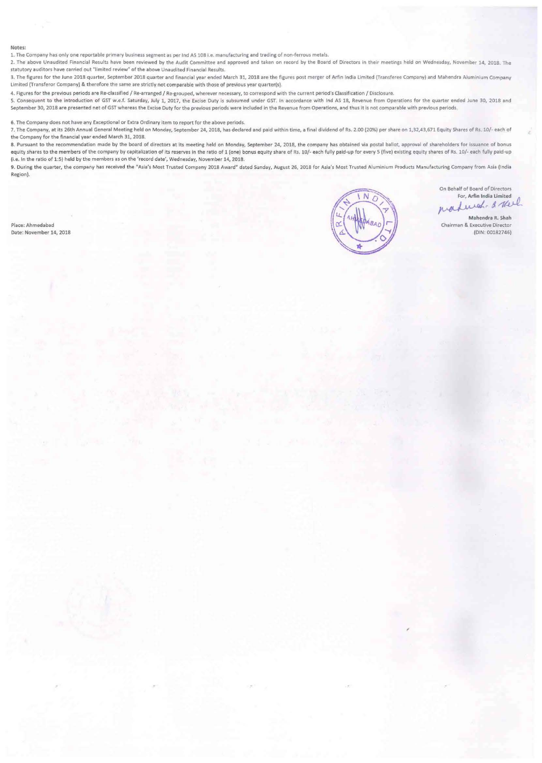## Notes:

1. The Company has only one reportable primary business segment as per lnd AS lOS I.e. manufacturing and trading of non·ferrous metals.

2. The above Unaudited Financial Results have been reviewed by the Audit Committee and approved and taken on record by the Board of Directors in their meetings held on Wednesday, November 14, 2018. The statutory auditors have carried out "limited review" of the above Unaudited Financial Results.

3. The figures for the June 2018 quarter, September 2018 quarter and financial year ended March 31, 2018 are the figures post merger of Arlin India Umlted (Transferee Company) and Mahendra Aluminium Company Umlted (Transferor Company) & therefore the same are strictly not comparable with those of previous year quarter(s).

4. Figures for the previous periods are Re-classified / Re-arranged / Re-grouped, wherever necessary, to correspond with the current period's Classification / Disclosure.

5. Consequent to the Introduction of GST w.e.f. Saturday, July 1, 2017, the Excise Duty is subsumed under GST. In accordance with lnd AS 18, Revenue from Operations for the quarter ended June 30, 2018 and September 30, 2018 are presented net of GST whereas the Excise Duty for the previous periods were included in the Revenue from Operations, and thus it is not comparable with previous periods.

6. The Company does not have any Exceptional or Extra Ordinary item to report for the above periods.

7. The Company, at its 26th Annual General Meeting held on Monday. September 24, 2018, has declared and paid within time. a final dividend of Rs. 2.00 (20%} per share on 1,32.43,671 Equity Shares of Rs. 10/· each of the Company for the financial year ended March 31. 2018.

8. Pursuant to the recommendation made by the board of directors at its meeting held on Monday, September 24, 2018, the company has obtained via postal ballot, approval of shareholders for issuance of bonus equity shares to the members of the company by capitalization of its reserves in the ratio of 1 (one) bonus equity share of Rs. 10/- each fully paid-up for every 5 (five) existing equity shares of Rs. 10/- each fully paid-(i.e. In the ratio of 1:5) held by the members as on the 'record date', Wednesday, November 14, 2018.

9. During the quarter, the company has received the "Asia's Most Trusted Company 2018 Award" dated Sunday, August 26, 2018 for Asia's Most Trusted Aluminium Products Manufacturing Company from Asia (India Region).

Place: Ahmedabad Date: November 14, 2018



On Behalf of Board of Directors<br>For, Arfin India Limited maderal. & thel

Mahendra R. Shah Chairman & Executive Director (DIN: 00182746)